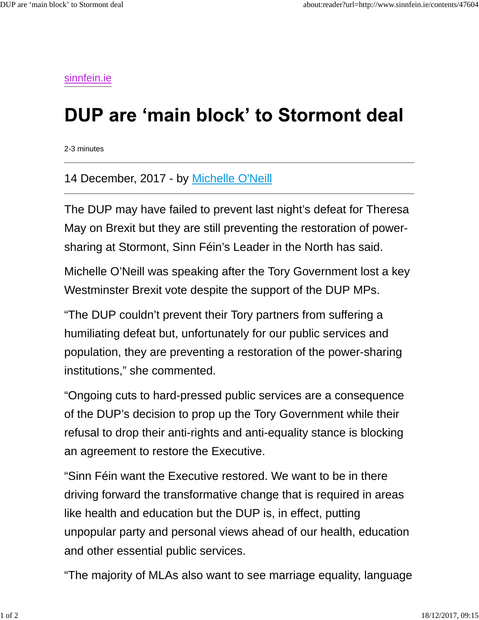sinnfein.ie

## DUP are 'main block' to Stormont deal

2-3 minutes

## 14 December, 2017 - by Michelle O'Neill

The DUP may have failed to prevent last night's defeat for Theresa May on Brexit but they are still preventing the restoration of powersharing at Stormont, Sinn Féin's Leader in the North has said.

Michelle O'Neill was speaking after the Tory Government lost a key Westminster Brexit vote despite the support of the DUP MPs.

"The DUP couldn't prevent their Tory partners from suffering a humiliating defeat but, unfortunately for our public services and population, they are preventing a restoration of the power-sharing institutions," she commented.

"Ongoing cuts to hard-pressed public services are a consequence of the DUP's decision to prop up the Tory Government while their refusal to drop their anti-rights and anti-equality stance is blocking an agreement to restore the Executive.

"Sinn Féin want the Executive restored. We want to be in there driving forward the transformative change that is required in areas like health and education but the DUP is, in effect, putting unpopular party and personal views ahead of our health, education and other essential public services.

"The majority of MLAs also want to see marriage equality, language